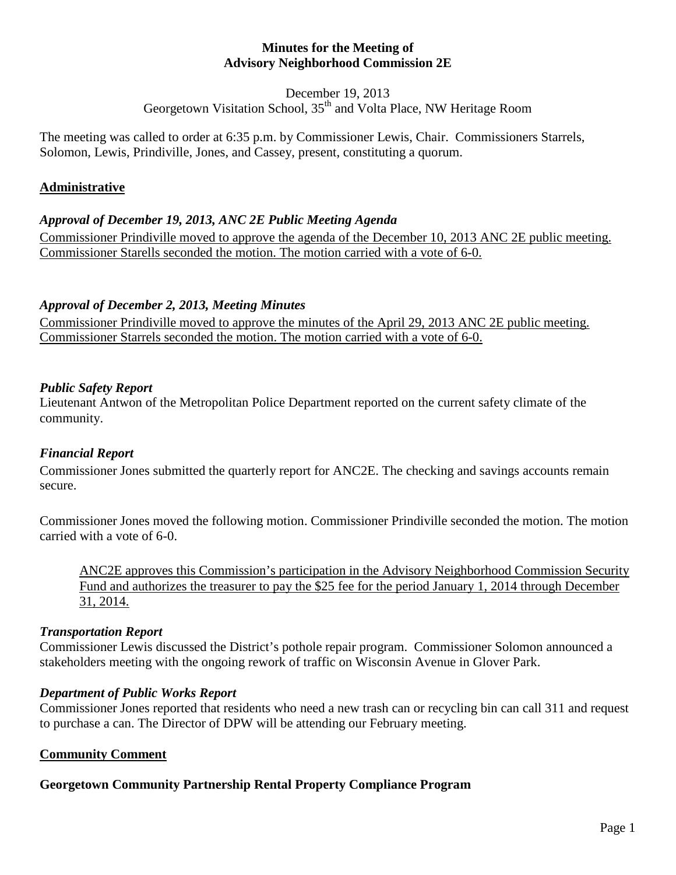#### **Minutes for the Meeting of Advisory Neighborhood Commission 2E**

December 19, 2013

Georgetown Visitation School,  $35<sup>th</sup>$  and Volta Place, NW Heritage Room

The meeting was called to order at 6:35 p.m. by Commissioner Lewis, Chair. Commissioners Starrels, Solomon, Lewis, Prindiville, Jones, and Cassey, present, constituting a quorum.

# **Administrative**

# *Approval of December 19, 2013, ANC 2E Public Meeting Agenda*

Commissioner Prindiville moved to approve the agenda of the December 10, 2013 ANC 2E public meeting. Commissioner Starells seconded the motion. The motion carried with a vote of 6-0.

# *Approval of December 2, 2013, Meeting Minutes*

Commissioner Prindiville moved to approve the minutes of the April 29, 2013 ANC 2E public meeting. Commissioner Starrels seconded the motion. The motion carried with a vote of 6-0.

# *Public Safety Report*

Lieutenant Antwon of the Metropolitan Police Department reported on the current safety climate of the community.

# *Financial Report*

Commissioner Jones submitted the quarterly report for ANC2E. The checking and savings accounts remain secure.

Commissioner Jones moved the following motion. Commissioner Prindiville seconded the motion. The motion carried with a vote of 6-0.

ANC2E approves this Commission's participation in the Advisory Neighborhood Commission Security Fund and authorizes the treasurer to pay the \$25 fee for the period January 1, 2014 through December 31, 2014.

# *Transportation Report*

Commissioner Lewis discussed the District's pothole repair program. Commissioner Solomon announced a stakeholders meeting with the ongoing rework of traffic on Wisconsin Avenue in Glover Park.

# *Department of Public Works Report*

Commissioner Jones reported that residents who need a new trash can or recycling bin can call 311 and request to purchase a can. The Director of DPW will be attending our February meeting.

# **Community Comment**

# **Georgetown Community Partnership Rental Property Compliance Program**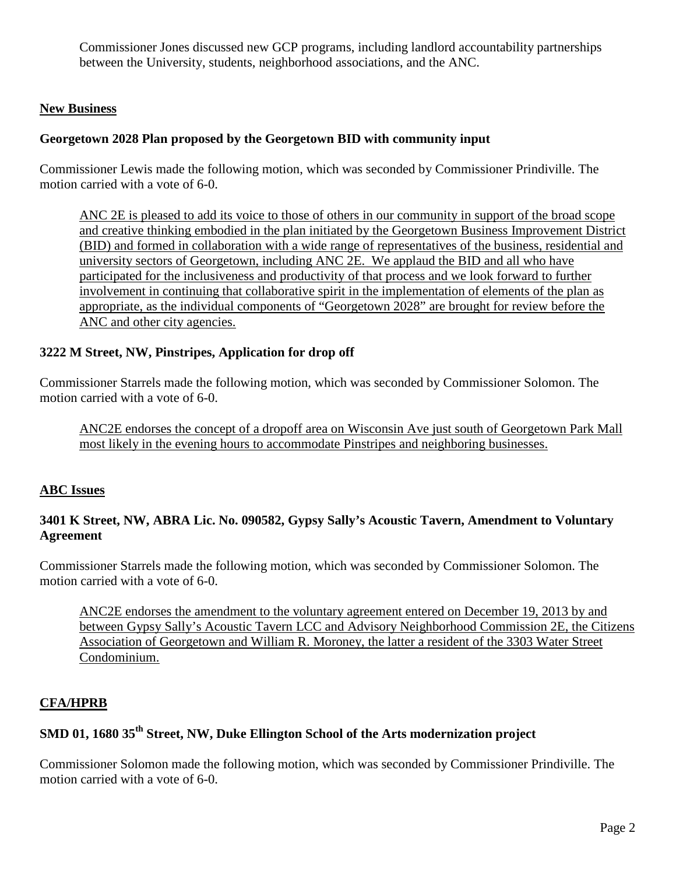Commissioner Jones discussed new GCP programs, including landlord accountability partnerships between the University, students, neighborhood associations, and the ANC.

#### **New Business**

#### **Georgetown 2028 Plan proposed by the Georgetown BID with community input**

Commissioner Lewis made the following motion, which was seconded by Commissioner Prindiville. The motion carried with a vote of 6-0.

ANC 2E is pleased to add its voice to those of others in our community in support of the broad scope and creative thinking embodied in the plan initiated by the Georgetown Business Improvement District (BID) and formed in collaboration with a wide range of representatives of the business, residential and university sectors of Georgetown, including ANC 2E. We applaud the BID and all who have participated for the inclusiveness and productivity of that process and we look forward to further involvement in continuing that collaborative spirit in the implementation of elements of the plan as appropriate, as the individual components of "Georgetown 2028" are brought for review before the ANC and other city agencies.

#### **3222 M Street, NW, Pinstripes, Application for drop off**

Commissioner Starrels made the following motion, which was seconded by Commissioner Solomon. The motion carried with a vote of 6-0.

ANC2E endorses the concept of a dropoff area on Wisconsin Ave just south of Georgetown Park Mall most likely in the evening hours to accommodate Pinstripes and neighboring businesses.

#### **ABC Issues**

## **3401 K Street, NW, ABRA Lic. No. 090582, Gypsy Sally's Acoustic Tavern, Amendment to Voluntary Agreement**

Commissioner Starrels made the following motion, which was seconded by Commissioner Solomon. The motion carried with a vote of 6-0.

ANC2E endorses the amendment to the voluntary agreement entered on December 19, 2013 by and between Gypsy Sally's Acoustic Tavern LCC and Advisory Neighborhood Commission 2E, the Citizens Association of Georgetown and William R. Moroney, the latter a resident of the 3303 Water Street Condominium.

# **CFA/HPRB**

# **SMD 01, 1680 35th Street, NW, Duke Ellington School of the Arts modernization project**

Commissioner Solomon made the following motion, which was seconded by Commissioner Prindiville. The motion carried with a vote of 6-0.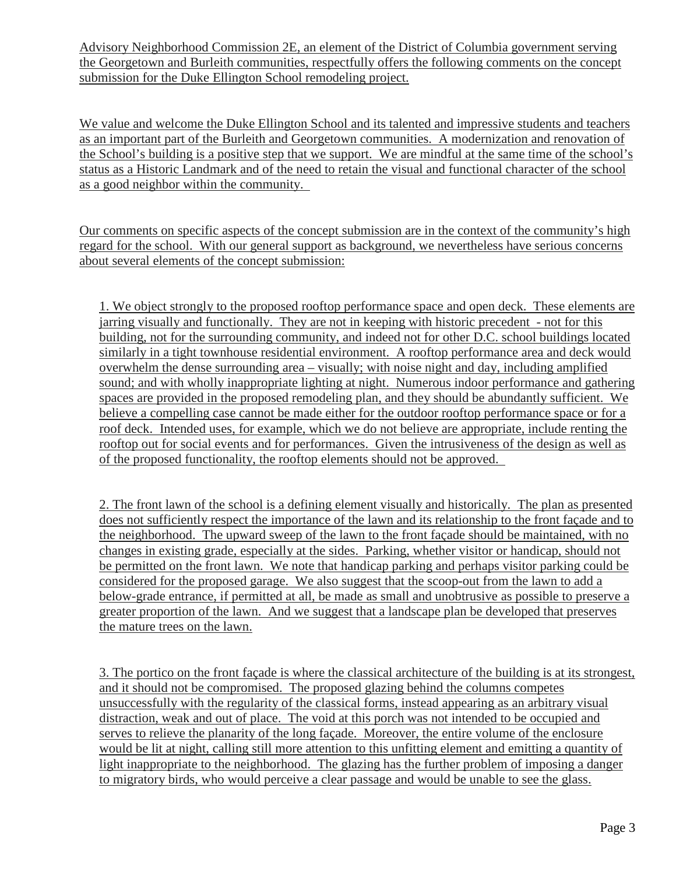Advisory Neighborhood Commission 2E, an element of the District of Columbia government serving the Georgetown and Burleith communities, respectfully offers the following comments on the concept submission for the Duke Ellington School remodeling project.

We value and welcome the Duke Ellington School and its talented and impressive students and teachers as an important part of the Burleith and Georgetown communities. A modernization and renovation of the School's building is a positive step that we support. We are mindful at the same time of the school's status as a Historic Landmark and of the need to retain the visual and functional character of the school as a good neighbor within the community.

Our comments on specific aspects of the concept submission are in the context of the community's high regard for the school. With our general support as background, we nevertheless have serious concerns about several elements of the concept submission:

1. We object strongly to the proposed rooftop performance space and open deck. These elements are jarring visually and functionally. They are not in keeping with historic precedent - not for this building, not for the surrounding community, and indeed not for other D.C. school buildings located similarly in a tight townhouse residential environment. A rooftop performance area and deck would overwhelm the dense surrounding area – visually; with noise night and day, including amplified sound; and with wholly inappropriate lighting at night. Numerous indoor performance and gathering spaces are provided in the proposed remodeling plan, and they should be abundantly sufficient. We believe a compelling case cannot be made either for the outdoor rooftop performance space or for a roof deck. Intended uses, for example, which we do not believe are appropriate, include renting the rooftop out for social events and for performances. Given the intrusiveness of the design as well as of the proposed functionality, the rooftop elements should not be approved.

2. The front lawn of the school is a defining element visually and historically. The plan as presented does not sufficiently respect the importance of the lawn and its relationship to the front façade and to the neighborhood. The upward sweep of the lawn to the front façade should be maintained, with no changes in existing grade, especially at the sides. Parking, whether visitor or handicap, should not be permitted on the front lawn. We note that handicap parking and perhaps visitor parking could be considered for the proposed garage. We also suggest that the scoop-out from the lawn to add a below-grade entrance, if permitted at all, be made as small and unobtrusive as possible to preserve a greater proportion of the lawn. And we suggest that a landscape plan be developed that preserves the mature trees on the lawn.

3. The portico on the front façade is where the classical architecture of the building is at its strongest, and it should not be compromised. The proposed glazing behind the columns competes unsuccessfully with the regularity of the classical forms, instead appearing as an arbitrary visual distraction, weak and out of place. The void at this porch was not intended to be occupied and serves to relieve the planarity of the long façade. Moreover, the entire volume of the enclosure would be lit at night, calling still more attention to this unfitting element and emitting a quantity of light inappropriate to the neighborhood. The glazing has the further problem of imposing a danger to migratory birds, who would perceive a clear passage and would be unable to see the glass.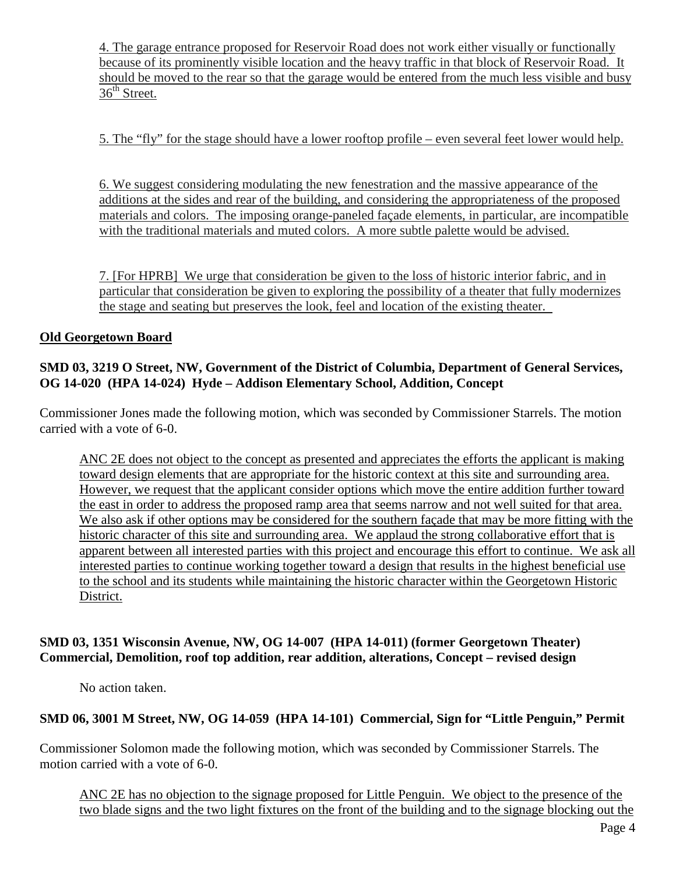4. The garage entrance proposed for Reservoir Road does not work either visually or functionally because of its prominently visible location and the heavy traffic in that block of Reservoir Road. It should be moved to the rear so that the garage would be entered from the much less visible and busy  $36<sup>th</sup>$  Street.

5. The "fly" for the stage should have a lower rooftop profile – even several feet lower would help.

6. We suggest considering modulating the new fenestration and the massive appearance of the additions at the sides and rear of the building, and considering the appropriateness of the proposed materials and colors. The imposing orange-paneled façade elements, in particular, are incompatible with the traditional materials and muted colors. A more subtle palette would be advised.

7. [For HPRB] We urge that consideration be given to the loss of historic interior fabric, and in particular that consideration be given to exploring the possibility of a theater that fully modernizes the stage and seating but preserves the look, feel and location of the existing theater.

## **Old Georgetown Board**

## **SMD 03, 3219 O Street, NW, Government of the District of Columbia, Department of General Services, OG 14-020 (HPA 14-024) Hyde – Addison Elementary School, Addition, Concept**

Commissioner Jones made the following motion, which was seconded by Commissioner Starrels. The motion carried with a vote of 6-0.

ANC 2E does not object to the concept as presented and appreciates the efforts the applicant is making toward design elements that are appropriate for the historic context at this site and surrounding area. However, we request that the applicant consider options which move the entire addition further toward the east in order to address the proposed ramp area that seems narrow and not well suited for that area. We also ask if other options may be considered for the southern façade that may be more fitting with the historic character of this site and surrounding area. We applaud the strong collaborative effort that is apparent between all interested parties with this project and encourage this effort to continue. We ask all interested parties to continue working together toward a design that results in the highest beneficial use to the school and its students while maintaining the historic character within the Georgetown Historic District.

## **SMD 03, 1351 Wisconsin Avenue, NW, OG 14-007 (HPA 14-011) (former Georgetown Theater) Commercial, Demolition, roof top addition, rear addition, alterations, Concept – revised design**

No action taken.

#### **SMD 06, 3001 M Street, NW, OG 14-059 (HPA 14-101) Commercial, Sign for "Little Penguin," Permit**

Commissioner Solomon made the following motion, which was seconded by Commissioner Starrels. The motion carried with a vote of 6-0.

ANC 2E has no objection to the signage proposed for Little Penguin. We object to the presence of the two blade signs and the two light fixtures on the front of the building and to the signage blocking out the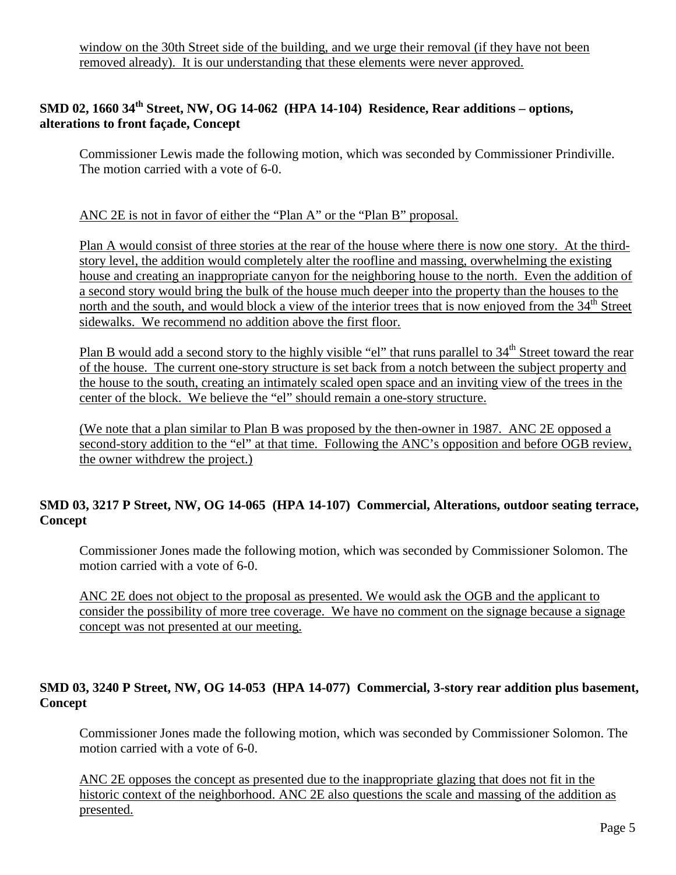# **SMD 02, 1660 34th Street, NW, OG 14-062 (HPA 14-104) Residence, Rear additions – options, alterations to front façade, Concept**

Commissioner Lewis made the following motion, which was seconded by Commissioner Prindiville. The motion carried with a vote of 6-0.

## ANC 2E is not in favor of either the "Plan A" or the "Plan B" proposal.

Plan A would consist of three stories at the rear of the house where there is now one story. At the thirdstory level, the addition would completely alter the roofline and massing, overwhelming the existing house and creating an inappropriate canyon for the neighboring house to the north. Even the addition of a second story would bring the bulk of the house much deeper into the property than the houses to the north and the south, and would block a view of the interior trees that is now enjoyed from the 34<sup>th</sup> Street sidewalks. We recommend no addition above the first floor.

Plan B would add a second story to the highly visible "el" that runs parallel to 34<sup>th</sup> Street toward the rear of the house. The current one-story structure is set back from a notch between the subject property and the house to the south, creating an intimately scaled open space and an inviting view of the trees in the center of the block. We believe the "el" should remain a one-story structure.

(We note that a plan similar to Plan B was proposed by the then-owner in 1987. ANC 2E opposed a second-story addition to the "el" at that time. Following the ANC's opposition and before OGB review, the owner withdrew the project.)

# **SMD 03, 3217 P Street, NW, OG 14-065 (HPA 14-107) Commercial, Alterations, outdoor seating terrace, Concept**

Commissioner Jones made the following motion, which was seconded by Commissioner Solomon. The motion carried with a vote of 6-0.

ANC 2E does not object to the proposal as presented. We would ask the OGB and the applicant to consider the possibility of more tree coverage. We have no comment on the signage because a signage concept was not presented at our meeting.

## **SMD 03, 3240 P Street, NW, OG 14-053 (HPA 14-077) Commercial, 3-story rear addition plus basement, Concept**

Commissioner Jones made the following motion, which was seconded by Commissioner Solomon. The motion carried with a vote of 6-0.

ANC 2E opposes the concept as presented due to the inappropriate glazing that does not fit in the historic context of the neighborhood. ANC 2E also questions the scale and massing of the addition as presented.